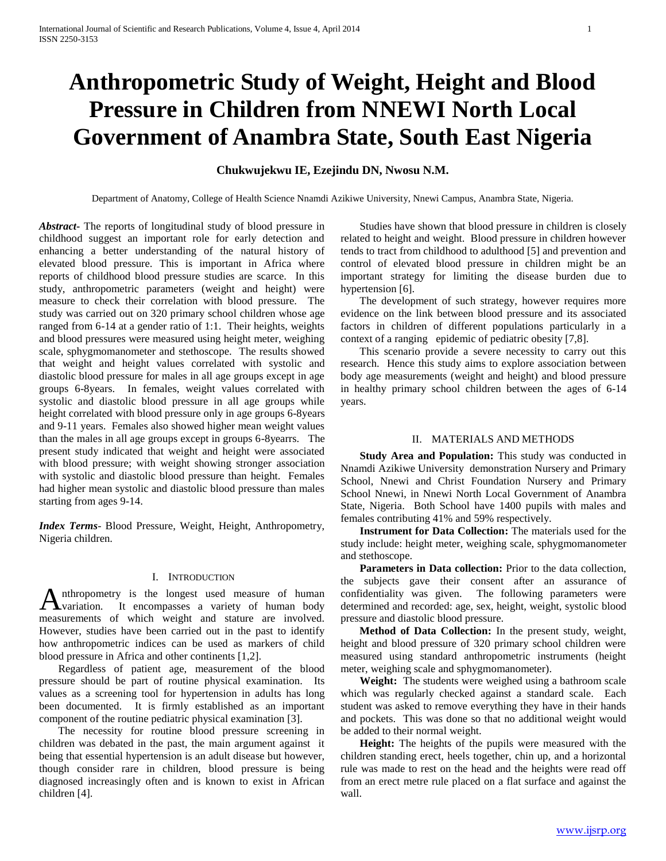# **Anthropometric Study of Weight, Height and Blood Pressure in Children from NNEWI North Local Government of Anambra State, South East Nigeria**

# **Chukwujekwu IE, Ezejindu DN, Nwosu N.M.**

Department of Anatomy, College of Health Science Nnamdi Azikiwe University, Nnewi Campus, Anambra State, Nigeria.

*Abstract***-** The reports of longitudinal study of blood pressure in childhood suggest an important role for early detection and enhancing a better understanding of the natural history of elevated blood pressure. This is important in Africa where reports of childhood blood pressure studies are scarce. In this study, anthropometric parameters (weight and height) were measure to check their correlation with blood pressure. The study was carried out on 320 primary school children whose age ranged from 6-14 at a gender ratio of 1:1. Their heights, weights and blood pressures were measured using height meter, weighing scale, sphygmomanometer and stethoscope. The results showed that weight and height values correlated with systolic and diastolic blood pressure for males in all age groups except in age groups 6-8years. In females, weight values correlated with systolic and diastolic blood pressure in all age groups while height correlated with blood pressure only in age groups 6-8years and 9-11 years. Females also showed higher mean weight values than the males in all age groups except in groups 6-8yearrs. The present study indicated that weight and height were associated with blood pressure; with weight showing stronger association with systolic and diastolic blood pressure than height. Females had higher mean systolic and diastolic blood pressure than males starting from ages 9-14.

*Index Terms*- Blood Pressure, Weight, Height, Anthropometry, Nigeria children.

# I. INTRODUCTION

nthropometry is the longest used measure of human Anthropometry is the longest used measure of human hody variation. It encompasses a variety of human body measurements of which weight and stature are involved. However, studies have been carried out in the past to identify how anthropometric indices can be used as markers of child blood pressure in Africa and other continents [1,2].

 Regardless of patient age, measurement of the blood pressure should be part of routine physical examination. Its values as a screening tool for hypertension in adults has long been documented. It is firmly established as an important component of the routine pediatric physical examination [3].

 The necessity for routine blood pressure screening in children was debated in the past, the main argument against it being that essential hypertension is an adult disease but however, though consider rare in children, blood pressure is being diagnosed increasingly often and is known to exist in African children [4].

 Studies have shown that blood pressure in children is closely related to height and weight. Blood pressure in children however tends to tract from childhood to adulthood [5] and prevention and control of elevated blood pressure in children might be an important strategy for limiting the disease burden due to hypertension [6].

 The development of such strategy, however requires more evidence on the link between blood pressure and its associated factors in children of different populations particularly in a context of a ranging epidemic of pediatric obesity [7,8].

 This scenario provide a severe necessity to carry out this research. Hence this study aims to explore association between body age measurements (weight and height) and blood pressure in healthy primary school children between the ages of 6-14 years.

#### II. MATERIALS AND METHODS

 **Study Area and Population:** This study was conducted in Nnamdi Azikiwe University demonstration Nursery and Primary School, Nnewi and Christ Foundation Nursery and Primary School Nnewi, in Nnewi North Local Government of Anambra State, Nigeria. Both School have 1400 pupils with males and females contributing 41% and 59% respectively.

 **Instrument for Data Collection:** The materials used for the study include: height meter, weighing scale, sphygmomanometer and stethoscope.

 **Parameters in Data collection:** Prior to the data collection, the subjects gave their consent after an assurance of confidentiality was given. The following parameters were determined and recorded: age, sex, height, weight, systolic blood pressure and diastolic blood pressure.

 **Method of Data Collection:** In the present study, weight, height and blood pressure of 320 primary school children were measured using standard anthropometric instruments (height meter, weighing scale and sphygmomanometer).

 **Weight:** The students were weighed using a bathroom scale which was regularly checked against a standard scale. Each student was asked to remove everything they have in their hands and pockets. This was done so that no additional weight would be added to their normal weight.

 **Height:** The heights of the pupils were measured with the children standing erect, heels together, chin up, and a horizontal rule was made to rest on the head and the heights were read off from an erect metre rule placed on a flat surface and against the wall.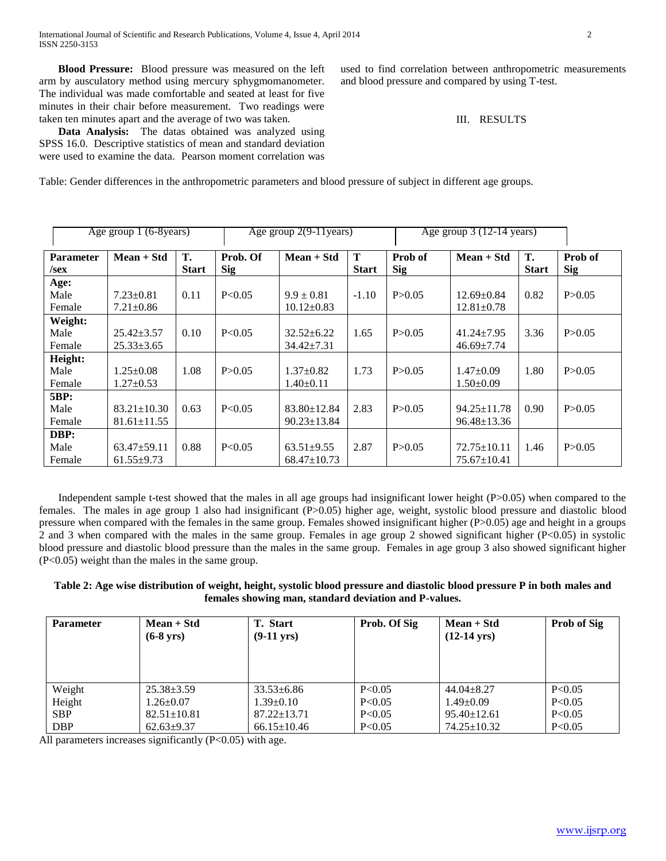**Blood Pressure:** Blood pressure was measured on the left arm by ausculatory method using mercury sphygmomanometer. The individual was made comfortable and seated at least for five minutes in their chair before measurement. Two readings were taken ten minutes apart and the average of two was taken.

 **Data Analysis:** The datas obtained was analyzed using SPSS 16.0. Descriptive statistics of mean and standard deviation were used to examine the data. Pearson moment correlation was used to find correlation between anthropometric measurements and blood pressure and compared by using T-test.

III. RESULTS

Table: Gender differences in the anthropometric parameters and blood pressure of subject in different age groups.

| Age group 1 (6-8years)      |                                      |                    |                        | Age group $2(9-11)$ years)           |                             |                       | Age group $3(12-14 \text{ years})$   |                    |                       |
|-----------------------------|--------------------------------------|--------------------|------------------------|--------------------------------------|-----------------------------|-----------------------|--------------------------------------|--------------------|-----------------------|
| <b>Parameter</b><br>$/$ sex | $Mean + Std$                         | T.<br><b>Start</b> | Prob. Of<br><b>Sig</b> | $Mean + Std$                         | $\mathbf T$<br><b>Start</b> | Prob of<br><b>Sig</b> | $Mean + Std$                         | Т.<br><b>Start</b> | Prob of<br><b>Sig</b> |
| Age:<br>Male                | $7.23 \pm 0.81$                      | 0.11               | P < 0.05               | $9.9 \pm 0.81$                       | $-1.10$                     | P > 0.05              | $12.69 \pm 0.84$                     | 0.82               | P > 0.05              |
| Female                      | $7.21 \pm 0.86$                      |                    |                        | $10.12 \pm 0.83$                     |                             |                       | $12.81 \pm 0.78$                     |                    |                       |
| Weight:                     |                                      |                    |                        |                                      |                             |                       |                                      |                    |                       |
| Male<br>Female              | $25.42 \pm 3.57$<br>$25.33 \pm 3.65$ | 0.10               | P<0.05                 | $32.52 \pm 6.22$<br>$34.42 \pm 7.31$ | 1.65                        | P > 0.05              | $41.24 \pm 7.95$<br>$46.69 \pm 7.74$ | 3.36               | P > 0.05              |
| Height:                     |                                      |                    |                        |                                      |                             |                       |                                      |                    |                       |
| Male                        | $1.25 \pm 0.08$                      | 1.08               | P > 0.05               | $1.37 \pm 0.82$                      | 1.73                        | P > 0.05              | $1.47 \pm 0.09$                      | 1.80               | P > 0.05              |
| Female                      | $1.27 + 0.53$                        |                    |                        | $1.40 \pm 0.11$                      |                             |                       | $1.50\pm0.09$                        |                    |                       |
| <b>5BP:</b>                 |                                      |                    |                        |                                      |                             |                       |                                      |                    |                       |
| Male                        | $83.21 \pm 10.30$                    | 0.63               | P < 0.05               | $83.80 \pm 12.84$                    | 2.83                        | P > 0.05              | $94.25 \pm 11.78$                    | 0.90               | P > 0.05              |
| Female                      | $81.61 \pm 11.55$                    |                    |                        | $90.23 \pm 13.84$                    |                             |                       | $96.48 \pm 13.36$                    |                    |                       |
| DBP:                        |                                      |                    |                        |                                      |                             |                       |                                      |                    |                       |
| Male                        | $63.47 \pm 59.11$                    | 0.88               | P < 0.05               | $63.51 \pm 9.55$                     | 2.87                        | P > 0.05              | $72.75 \pm 10.11$                    | 1.46               | P > 0.05              |
| Female                      | $61.55 \pm 9.73$                     |                    |                        | $68.47 \pm 10.73$                    |                             |                       | $75.67 \pm 10.41$                    |                    |                       |

Independent sample t-test showed that the males in all age groups had insignificant lower height (P>0.05) when compared to the females. The males in age group 1 also had insignificant (P>0.05) higher age, weight, systolic blood pressure and diastolic blood pressure when compared with the females in the same group. Females showed insignificant higher (P>0.05) age and height in a groups 2 and 3 when compared with the males in the same group. Females in age group 2 showed significant higher (P<0.05) in systolic blood pressure and diastolic blood pressure than the males in the same group. Females in age group 3 also showed significant higher (P<0.05) weight than the males in the same group.

# **Table 2: Age wise distribution of weight, height, systolic blood pressure and diastolic blood pressure P in both males and females showing man, standard deviation and P-values.**

| <b>Parameter</b> | $Mean + Std$<br>$(6-8 \text{ yrs})$ | <b>T.</b> Start<br>$(9-11 \text{ yrs})$ | Prob. Of Sig | $Mean + Std$<br>$(12-14 \text{ yrs})$ | <b>Prob of Sig</b> |
|------------------|-------------------------------------|-----------------------------------------|--------------|---------------------------------------|--------------------|
| Weight           | $25.38 \pm 3.59$                    | $33.53\pm 6.86$                         | P < 0.05     | $44.04 \pm 8.27$                      | P < 0.05           |
| Height           | $1.26 \pm 0.07$                     | $1.39 \pm 0.10$                         | P < 0.05     | $1.49 \pm 0.09$                       | P < 0.05           |
| <b>SBP</b>       | $82.51 \pm 10.81$                   | $87.22 \pm 13.71$                       | P < 0.05     | $95.40 \pm 12.61$                     | P < 0.05           |
| <b>DBP</b>       | $62.63 \pm 9.37$                    | $66.15 \pm 10.46$                       | P<0.05       | $74.25 \pm 10.32$                     | P < 0.05           |

All parameters increases significantly (P<0.05) with age.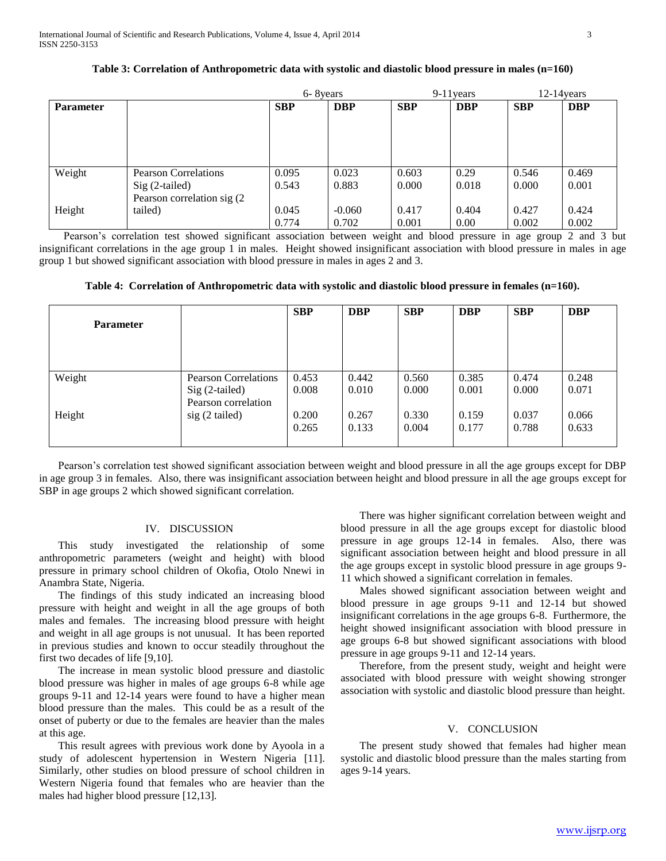|                  |                                                                               |                | 6-8 years         |                | $9-11$ years  |                | $12-14$ vears  |  |
|------------------|-------------------------------------------------------------------------------|----------------|-------------------|----------------|---------------|----------------|----------------|--|
| <b>Parameter</b> |                                                                               | <b>SBP</b>     | <b>DBP</b>        | <b>SBP</b>     | <b>DBP</b>    | <b>SBP</b>     | <b>DBP</b>     |  |
|                  |                                                                               |                |                   |                |               |                |                |  |
| Weight           | <b>Pearson Correlations</b><br>$Sig(2-tailed)$<br>Pearson correlation sig (2) | 0.095<br>0.543 | 0.023<br>0.883    | 0.603<br>0.000 | 0.29<br>0.018 | 0.546<br>0.000 | 0.469<br>0.001 |  |
| Height           | tailed)                                                                       | 0.045<br>0.774 | $-0.060$<br>0.702 | 0.417<br>0.001 | 0.404<br>0.00 | 0.427<br>0.002 | 0.424<br>0.002 |  |

# **Table 3: Correlation of Anthropometric data with systolic and diastolic blood pressure in males (n=160)**

 Pearson's correlation test showed significant association between weight and blood pressure in age group 2 and 3 but insignificant correlations in the age group 1 in males. Height showed insignificant association with blood pressure in males in age group 1 but showed significant association with blood pressure in males in ages 2 and 3.

**Table 4: Correlation of Anthropometric data with systolic and diastolic blood pressure in females (n=160).**

| <b>Parameter</b> |                             | <b>SBP</b> | <b>DBP</b> | <b>SBP</b> | <b>DBP</b> | <b>SBP</b> | <b>DBP</b> |
|------------------|-----------------------------|------------|------------|------------|------------|------------|------------|
| Weight           | <b>Pearson Correlations</b> | 0.453      | 0.442      | 0.560      | 0.385      | 0.474      | 0.248      |
|                  | Sig (2-tailed)              | 0.008      | 0.010      | 0.000      | 0.001      | 0.000      | 0.071      |
| Height           | Pearson correlation         | 0.200      | 0.267      | 0.330      | 0.159      | 0.037      | 0.066      |
|                  | $sig(2-tailed)$             | 0.265      | 0.133      | 0.004      | 0.177      | 0.788      | 0.633      |

 Pearson's correlation test showed significant association between weight and blood pressure in all the age groups except for DBP in age group 3 in females. Also, there was insignificant association between height and blood pressure in all the age groups except for SBP in age groups 2 which showed significant correlation.

# IV. DISCUSSION

 This study investigated the relationship of some anthropometric parameters (weight and height) with blood pressure in primary school children of Okofia, Otolo Nnewi in Anambra State, Nigeria.

 The findings of this study indicated an increasing blood pressure with height and weight in all the age groups of both males and females. The increasing blood pressure with height and weight in all age groups is not unusual. It has been reported in previous studies and known to occur steadily throughout the first two decades of life [9,10].

 The increase in mean systolic blood pressure and diastolic blood pressure was higher in males of age groups 6-8 while age groups 9-11 and 12-14 years were found to have a higher mean blood pressure than the males. This could be as a result of the onset of puberty or due to the females are heavier than the males at this age.

 This result agrees with previous work done by Ayoola in a study of adolescent hypertension in Western Nigeria [11]. Similarly, other studies on blood pressure of school children in Western Nigeria found that females who are heavier than the males had higher blood pressure [12,13].

 There was higher significant correlation between weight and blood pressure in all the age groups except for diastolic blood pressure in age groups 12-14 in females. Also, there was significant association between height and blood pressure in all the age groups except in systolic blood pressure in age groups 9- 11 which showed a significant correlation in females.

 Males showed significant association between weight and blood pressure in age groups 9-11 and 12-14 but showed insignificant correlations in the age groups 6-8. Furthermore, the height showed insignificant association with blood pressure in age groups 6-8 but showed significant associations with blood pressure in age groups 9-11 and 12-14 years.

 Therefore, from the present study, weight and height were associated with blood pressure with weight showing stronger association with systolic and diastolic blood pressure than height.

### V. CONCLUSION

 The present study showed that females had higher mean systolic and diastolic blood pressure than the males starting from ages 9-14 years.